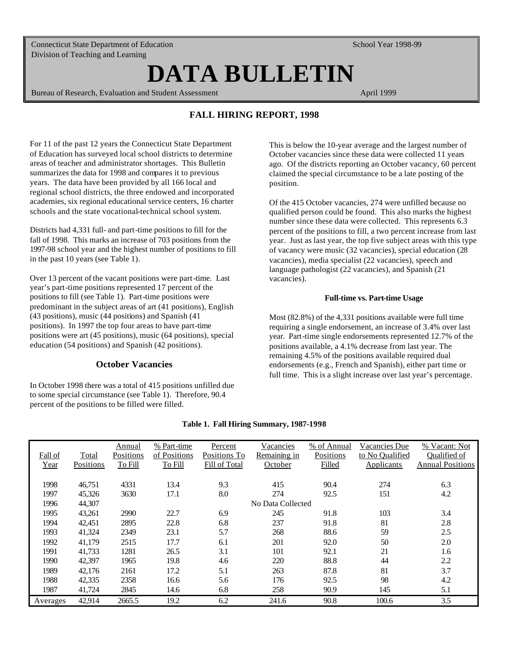Connecticut State Department of Education Division of Teaching and Learning

**DATA BULLETIN** 

Bureau of Research, Evaluation and Student Assessment

April 1999

School Year 1998-99

# **FALL HIRING REPORT, 1998**

For 11 of the past 12 years the Connecticut State Department of Education has surveyed local school districts to determine areas of teacher and administrator shortages. This Bulletin summarizes the data for 1998 and compares it to previous years. The data have been provided by all 166 local and regional school districts, the three endowed and incorporated academies, six regional educational service centers, 16 charter schools and the state vocational-technical school system.

Districts had 4,331 full- and part-time positions to fill for the fall of 1998. This marks an increase of 703 positions from the 1997-98 school year and the highest number of positions to fill in the past 10 years (see Table 1).

Over 13 percent of the vacant positions were part-time. Last year's part-time positions represented 17 percent of the positions to fill (see Table 1). Part-time positions were predominant in the subject areas of art (41 positions), English (43 positions), music (44 positions) and Spanish (41 positions). In 1997 the top four areas to have part-time positions were art (45 positions), music (64 positions), special education (54 positions) and Spanish (42 positions).

## **October Vacancies**

In October 1998 there was a total of 415 positions unfilled due to some special circumstance (see Table 1). Therefore, 90.4 percent of the positions to be filled were filled.

This is below the 10-year average and the largest number of October vacancies since these data were collected 11 years ago. Of the districts reporting an October vacancy, 60 percent claimed the special circumstance to be a late posting of the position.

Of the 415 October vacancies, 274 were unfilled because no qualified person could be found. This also marks the highest number since these data were collected. This represents 6.3 percent of the positions to fill, a two percent increase from last year. Just as last year, the top five subject areas with this type of vacancy were music (32 vacancies), special education (28 vacancies), media specialist (22 vacancies), speech and language pathologist (22 vacancies), and Spanish (21 vacancies).

#### **Full-time vs. Part-time Usage**

Most (82.8%) of the 4,331 positions available were full time requiring a single endorsement, an increase of 3.4% over last year. Part-time single endorsements represented 12.7% of the positions available, a 4.1% decrease from last year. The remaining 4.5% of the positions available required dual endorsements (e.g., French and Spanish), either part time or full time. This is a slight increase over last year's percentage.

| Fall of  | Total     | Annual<br>Positions | % Part-time<br>of Positions | Percent<br>Positions To | Vacancies<br>Remaining in | % of Annual<br>Positions | <b>Vacancies Due</b><br>to No Qualified | % Vacant: Not<br>Qualified of |
|----------|-----------|---------------------|-----------------------------|-------------------------|---------------------------|--------------------------|-----------------------------------------|-------------------------------|
| Year     | Positions | To Fill             | To Fill                     | Fill of Total           | October                   | Filled                   | <b>Applicants</b>                       | <b>Annual Positions</b>       |
|          |           |                     |                             |                         |                           |                          |                                         |                               |
| 1998     | 46,751    | 4331                | 13.4                        | 9.3                     | 415                       | 90.4                     | 274                                     | 6.3                           |
| 1997     | 45,326    | 3630                | 17.1                        | 8.0                     | 274                       | 92.5                     | 151                                     | 4.2                           |
| 1996     | 44,307    |                     |                             |                         | No Data Collected         |                          |                                         |                               |
| 1995     | 43,261    | 2990                | 22.7                        | 6.9                     | 245                       | 91.8                     | 103                                     | 3.4                           |
| 1994     | 42,451    | 2895                | 22.8                        | 6.8                     | 237                       | 91.8                     | 81                                      | 2.8                           |
| 1993     | 41,324    | 2349                | 23.1                        | 5.7                     | 268                       | 88.6                     | 59                                      | 2.5                           |
| 1992     | 41,179    | 2515                | 17.7                        | 6.1                     | 201                       | 92.0                     | 50                                      | 2.0                           |
| 1991     | 41,733    | 1281                | 26.5                        | 3.1                     | 101                       | 92.1                     | 21                                      | 1.6                           |
| 1990     | 42,397    | 1965                | 19.8                        | 4.6                     | 220                       | 88.8                     | 44                                      | 2.2                           |
| 1989     | 42,176    | 2161                | 17.2                        | 5.1                     | 263                       | 87.8                     | 81                                      | 3.7                           |
| 1988     | 42,335    | 2358                | 16.6                        | 5.6                     | 176                       | 92.5                     | 98                                      | 4.2                           |
| 1987     | 41,724    | 2845                | 14.6                        | 6.8                     | 258                       | 90.9                     | 145                                     | 5.1                           |
| Averages | 42,914    | 2665.5              | 19.2                        | 6.2                     | 241.6                     | 90.8                     | 100.6                                   | 3.5                           |

## **Table 1. Fall Hiring Summary, 1987-1998**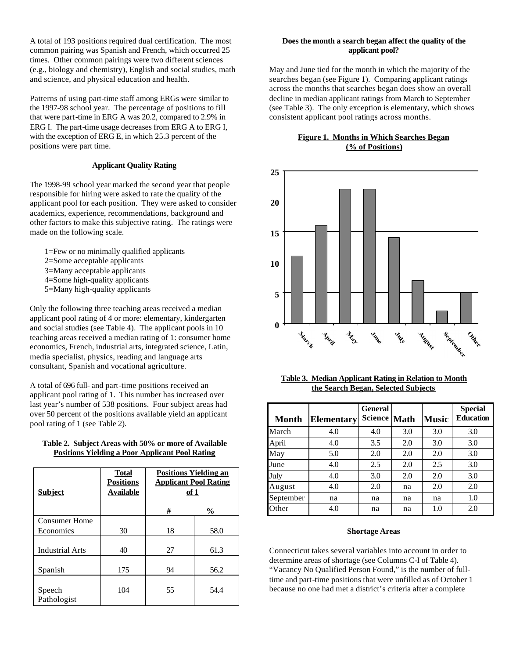A total of 193 positions required dual certification. The most common pairing was Spanish and French, which occurred 25 times. Other common pairings were two different sciences (e.g., biology and chemistry), English and social studies, math and science, and physical education and health.

Patterns of using part-time staff among ERGs were similar to the 1997-98 school year. The percentage of positions to fill that were part-time in ERG A was 20.2, compared to 2.9% in ERG I. The part-time usage decreases from ERG A to ERG I, with the exception of ERG E, in which 25.3 percent of the positions were part time.

## **Applicant Quality Rating**

The 1998-99 school year marked the second year that people responsible for hiring were asked to rate the quality of the applicant pool for each position. They were asked to consider academics, experience, recommendations, background and other factors to make this subjective rating. The ratings were made on the following scale.

- 1=Few or no minimally qualified applicants
- 2=Some acceptable applicants
- 3=Many acceptable applicants
- 4=Some high-quality applicants
- 5=Many high-quality applicants

Only the following three teaching areas received a median applicant pool rating of 4 or more: elementary, kindergarten and social studies (see Table 4). The applicant pools in 10 teaching areas received a median rating of 1: consumer home economics, French, industrial arts, integrated science, Latin, media specialist, physics, reading and language arts consultant, Spanish and vocational agriculture.

A total of 696 full- and part-time positions received an applicant pool rating of 1. This number has increased over last year's number of 538 positions. Four subject areas had over 50 percent of the positions available yield an applicant pool rating of 1 (see Table 2).

## **Table 2. Subject Areas with 50% or more of Available Positions Yielding a Poor Applicant Pool Rating**

| <b>Subject</b>         | <b>Total</b><br><b>Positions</b><br><b>Available</b> | <b>Positions Yielding an</b><br><b>Applicant Pool Rating</b><br><u>of 1</u> |               |  |
|------------------------|------------------------------------------------------|-----------------------------------------------------------------------------|---------------|--|
|                        |                                                      | #                                                                           | $\frac{0}{0}$ |  |
| Consumer Home          |                                                      |                                                                             |               |  |
| Economics              | 30                                                   | 18                                                                          | 58.0          |  |
| <b>Industrial Arts</b> | 40                                                   | 27                                                                          | 61.3          |  |
|                        |                                                      |                                                                             |               |  |
| Spanish                | 175                                                  | 94                                                                          | 56.2          |  |
| Speech<br>Pathologist  | 104                                                  | 55                                                                          | 54.4          |  |

## **Does the month a search began affect the quality of the applicant pool?**

May and June tied for the month in which the majority of the searches began (see Figure 1). Comparing applicant ratings across the months that searches began does show an overall decline in median applicant ratings from March to September (see Table 3). The only exception is elementary, which shows consistent applicant pool ratings across months.





| Table 3. Median Applicant Rating in Relation to Month |
|-------------------------------------------------------|
| the Search Began, Selected Subjects                   |

| Month     | <b>Elementary</b> | <b>General</b><br><b>Science</b> | <b>Math</b> | <b>Music</b> | <b>Special</b><br><b>Education</b> |
|-----------|-------------------|----------------------------------|-------------|--------------|------------------------------------|
| March     | 4.0               | 4.0                              | 3.0         | 3.0          | 3.0                                |
| April     | 4.0               | 3.5                              | 2.0         | 3.0          | 3.0                                |
| May       | 5.0               | 2.0                              | 2.0         | 2.0          | 3.0                                |
| June      | 4.0               | 2.5                              | 2.0         | 2.5          | 3.0                                |
| July      | 4.0               | 3.0                              | 2.0         | 2.0          | 3.0                                |
| August    | 4.0               | 2.0                              | na          | 2.0          | 2.0                                |
| September | na                | na                               | na          | na           | 1.0                                |
| Other     | 4.0               | na                               | na          | 1.0          | 2.0                                |

## **Shortage Areas**

Connecticut takes several variables into account in order to determine areas of shortage (see Columns C-I of Table 4). "Vacancy No Qualified Person Found," is the number of fulltime and part-time positions that were unfilled as of October 1 because no one had met a district's criteria after a complete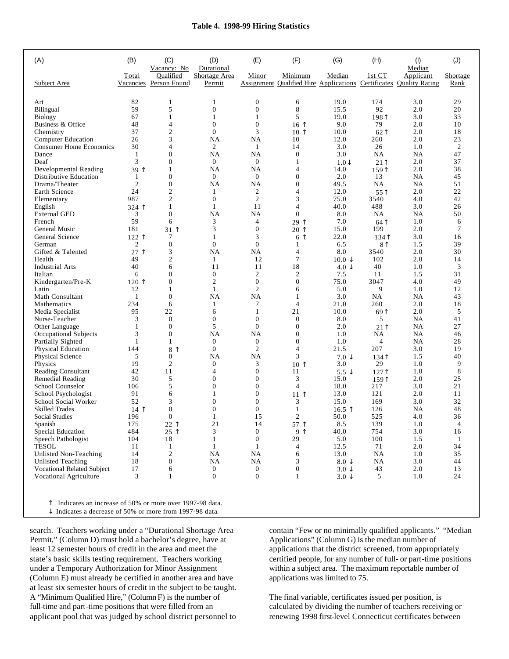#### **Table 4. 1998-99 Hiring Statistics**

| (A)                                               | (B)              | (C)<br>Vacancy: No                   | (D)<br>Durational       | (E)                    | (F)             | (G)                     | (H)                                    | (1)<br>Median                                                                   | (J)              |
|---------------------------------------------------|------------------|--------------------------------------|-------------------------|------------------------|-----------------|-------------------------|----------------------------------------|---------------------------------------------------------------------------------|------------------|
| Subject Area                                      | Total            | Oualified<br>Vacancies Person Found  | Shortage Area<br>Permit | Minor                  | Minimum         | Median                  | 1st CT                                 | Applicant<br>Assignment Qualified Hire Applications Certificates Quality Rating | Shortage<br>Rank |
|                                                   |                  |                                      |                         |                        |                 |                         |                                        |                                                                                 |                  |
| Art                                               | 82               | 1                                    | 1                       | 0                      | 6               | 19.0                    | 174                                    | 3.0                                                                             | 29               |
| Bilingual                                         | 59               | 5                                    | $\mathbf{0}$            | $\overline{0}$         | 8               | 15.5                    | 92                                     | 2.0                                                                             | 20               |
| <b>Biology</b>                                    | 67               | 1                                    | 1                       | 1                      | 5               | 19.0                    | 198 <sup>†</sup>                       | 3.0                                                                             | 33               |
| Business & Office                                 | 48               | 4                                    | $\mathbf{0}$            | $\overline{0}$         | $16$ 1          | 9.0                     | 79                                     | 2.0                                                                             | 10               |
| Chemistry                                         | 37               | $\mathfrak{2}$                       | $\Omega$                | 3                      | 10 <sup>1</sup> | 10.0                    | 62                                     | 2.0                                                                             | 18               |
| <b>Computer Education</b>                         | 26               | 3                                    | NA                      | <b>NA</b>              | 10              | 12.0                    | 260                                    | 2.0                                                                             | 23               |
| <b>Consumer Home Economics</b>                    | 30               | 4                                    | 2                       | 1                      | 14              | 3.0                     | 26                                     | 1.0                                                                             | $\overline{c}$   |
| Dance                                             | 1                | $\overline{0}$                       | NA                      | <b>NA</b>              | $\mathbf{0}$    | 3.0                     | NA                                     | <b>NA</b>                                                                       | 47               |
| Deaf                                              | 3                | $\overline{0}$                       | $\mathbf{0}$            | $\mathbf{0}$           | 1               | $1.0\downarrow$         | 21 <sup>†</sup>                        | 2.0                                                                             | 37               |
| Developmental Reading                             | 39个              | 1                                    | NA                      | <b>NA</b>              | 4               | 14.0                    | 1591                                   | 2.0                                                                             | 38               |
| Distributive Education                            | 1                | $\overline{0}$                       | $\mathbf{0}$            | $\overline{0}$         | $\mathbf{0}$    | 2.0                     | 13                                     | <b>NA</b>                                                                       | 45               |
| Drama/Theater                                     | 2                | $\overline{0}$                       | NA                      | <b>NA</b>              | $\mathbf{0}$    | 49.5                    | NA                                     | <b>NA</b>                                                                       | 51               |
| Earth Science                                     | 24               | $\overline{2}$                       | 1                       | 2                      | 4               | 12.0                    | 55                                     | 2.0                                                                             | 22               |
| Elementary                                        | 987              | $\overline{2}$                       | $\mathbf{0}$            | $\overline{2}$         | 3               | 75.0                    | 3540                                   | 4.0                                                                             | 42               |
| English                                           | 324 1            | 1                                    | 1                       | 11                     | 4               | 40.0                    | 488                                    | 3.0                                                                             | 26               |
| <b>External GED</b>                               | 3                | $\overline{0}$                       | NA                      | <b>NA</b>              | $\mathbf{0}$    | 8.0                     | NA                                     | <b>NA</b>                                                                       | 50               |
| French                                            | 59               | 6                                    | 3                       | 4                      | 29 T            | 7.0                     | 64 <sup>†</sup>                        | 1.0                                                                             | 6                |
| General Music                                     | 181              | $31$ ↑                               | 3                       | $\overline{0}$         | $20 \uparrow$   | 15.0                    | 199                                    | 2.0                                                                             | 7                |
| General Science                                   | 122 1            | 7                                    | 1                       | 3                      | 6 <sup>1</sup>  | 22.0                    | $134$ <sup><math>\uparrow</math></sup> | 3.0                                                                             | 16               |
| German                                            | 2                | $\mathbf{0}$                         | $\overline{0}$          | $\overline{0}$         | 1               | 6.5                     | 8 <sup>†</sup>                         | 1.5                                                                             | 39               |
| Gifted & Talented                                 | $\uparrow$<br>27 | 3                                    | NA                      | NA                     | 4               | 8.0                     | 3540                                   | 2.0                                                                             | 30               |
| Health                                            | 49               | $\mathfrak{2}$                       | 1                       | 12                     | 7               | $10.0 \downarrow$       | 102                                    | 2.0                                                                             | 14               |
| <b>Industrial Arts</b>                            | 40               | 6                                    | 11                      | 11                     | 18              | $4.0 \downarrow$        | 40                                     | 1.0                                                                             | 3                |
| Italian                                           | 6                | $\overline{0}$                       | $\mathbf{0}$            | $\mathfrak{2}$         | $\overline{c}$  | 7.5                     | 11                                     | 1.5                                                                             | 31               |
| Kindergarten/Pre-K                                | 120 T            | $\overline{0}$                       | 2                       | $\overline{0}$         | $\mathbf{0}$    | 75.0                    | 3047                                   | 4.0                                                                             | 49               |
| Latin                                             | 12               | 1                                    | 1                       | $\overline{c}$         | 6               | 5.0                     | 9                                      | 1.0                                                                             | 12               |
| Math Consultant                                   | 1                | $\overline{0}$                       | NA                      | NA                     | 1               | 3.0                     | NA                                     | <b>NA</b>                                                                       | 43               |
| Mathematics                                       | 234              | 6                                    | 1                       | 7                      | $\overline{4}$  | 21.0                    | 260                                    | 2.0                                                                             | 18               |
| Media Specialist                                  | 95               | 22                                   | 6                       | 1                      | 21              | 10.0                    | 69                                     | 2.0                                                                             | 5                |
| Nurse-Teacher                                     | 3                | $\mathbf{0}$                         | $\overline{0}$          | $\mathbf{0}$           | $\mathbf{0}$    | 8.0                     | 5                                      | <b>NA</b>                                                                       | 41               |
| Other Language                                    | 1                | $\mathbf{0}$                         | 5                       | $\overline{0}$         | $\mathbf{0}$    | 2.0                     | $21$ <sup><math>\uparrow</math></sup>  | <b>NA</b>                                                                       | 27               |
| Occupational Subjects                             | 3                | $\overline{0}$                       | NA                      | NA                     | $\mathbf{0}$    | 1.0                     | NA                                     | <b>NA</b>                                                                       | 46               |
| Partially Sighted                                 | 1                | 1                                    | $\overline{0}$          | 0                      | $\mathbf{0}$    | 1.0                     | 4                                      | <b>NA</b>                                                                       | 28               |
| <b>Physical Education</b>                         | 144              | 8 $\uparrow$                         | $\overline{0}$          | $\overline{2}$         | 4               | 21.5                    | 207                                    | 3.0                                                                             | 19               |
| Physical Science                                  | 5                | $\overline{0}$                       | <b>NA</b>               | <b>NA</b>              | 3               | $7.0 \downarrow$        | 134                                    | 1.5                                                                             | 40               |
| Physics                                           | 19               | $\overline{2}$                       | $\overline{0}$          | 3                      | 10 <sup>1</sup> | 3.0                     | 29                                     | 1.0                                                                             | 9                |
| <b>Reading Consultant</b>                         | 42               | 11                                   | 4                       | $\mathbf{0}$           | 11              | 5.5 $\downarrow$        | 127                                    | 1.0                                                                             | 8                |
| Remedial Reading                                  | 30               | 5                                    | $\mathbf{0}$            | $\mathbf{0}$           | 3               | 15.0                    | 159                                    | 2.0                                                                             | 25               |
| School Counselor                                  | 106              | 5                                    | $\mathbf{0}$            | $\overline{0}$         | $\overline{4}$  | 18.0                    | 217                                    | 3.0                                                                             | 21               |
| School Psychologist                               | 91               | 6                                    | 1                       | $\overline{0}$         | $11$ $\uparrow$ | 13.0                    | 121                                    | 2.0                                                                             | 11               |
| School Social Worker                              | 52               | 3                                    | $\Omega$                | $\overline{0}$         | 3               | 15.0                    | 169                                    | 3.0                                                                             | 32               |
| <b>Skilled Trades</b>                             | $14$ 1           | $\overline{0}$                       | $\mathbf{0}$            | $\overline{0}$         | 1               | $16.5$ $\uparrow$       | 126                                    | <b>NA</b>                                                                       | 48               |
| <b>Social Studies</b>                             | 196              | $\overline{0}$                       | 1                       | 15                     | 2               | 50.0                    | 525                                    | 4.0                                                                             | 36               |
| Spanish                                           | 175              | $22$ 1                               | 21                      | 14                     | 57 T            | 8.5                     | 139                                    | 1.0                                                                             | 4                |
| Special Education                                 | 484              | 25 1                                 | 3                       | $\boldsymbol{0}$       | 9 <sup>1</sup>  | 40.0                    | 754                                    | 3.0                                                                             | 16               |
| Speech Pathologist                                | 104              | 18                                   | 1                       | $\boldsymbol{0}$       | 29              | $5.0\,$                 | 100                                    | 1.5                                                                             | -1               |
| <b>TESOL</b>                                      | 11               | $\mathbf{1}$                         | $\mathbf{1}$            | 1                      | $\overline{4}$  | 12.5                    | 71                                     | 2.0                                                                             | 34               |
| Unlisted Non-Teaching<br><b>Unlisted Teaching</b> | 14               | $\boldsymbol{2}$<br>$\boldsymbol{0}$ | <b>NA</b><br>NA         | <b>NA</b><br><b>NA</b> | 6<br>3          | 13.0<br>$8.0\downarrow$ | <b>NA</b><br><b>NA</b>                 | 1.0<br>3.0                                                                      | 35<br>44         |
|                                                   | 18               | 6                                    | $\boldsymbol{0}$        | $\boldsymbol{0}$       | $\mathbf{0}$    |                         |                                        |                                                                                 | 13               |
| Vocational Related Subject                        | 17<br>3          | 1                                    | $\boldsymbol{0}$        | $\boldsymbol{0}$       | 1               | $3.0 \downarrow$        | 43<br>5                                | 2.0<br>1.0                                                                      | 24               |
| Vocational Agriculture                            |                  |                                      |                         |                        |                 | $3.0 \downarrow$        |                                        |                                                                                 |                  |
|                                                   |                  |                                      |                         |                        |                 |                         |                                        |                                                                                 |                  |

 $\hat{\Gamma}$  Indicates an increase of 50% or more over 1997-98 data.  $\downarrow$  Indicates a decrease of 50% or more from 1997-98 data.

search. Teachers working under a "Durational Shortage Area Permit," (Column D) must hold a bachelor's degree, have at least 12 semester hours of credit in the area and meet the state's basic skills testing requirement. Teachers working under a Temporary Authorization for Minor Assignment (Column E) must already be certified in another area and have at least six semester hours of credit in the subject to be taught. A "Minimum Qualified Hire," (Column F) is the number of full-time and part-time positions that were filled from an applicant pool that was judged by school district personnel to

contain "Few or no minimally qualified applicants." "Median Applications" (Column G) is the median number of applications that the district screened, from appropriately certified people, for any number of full- or part-time positions within a subject area. The maximum reportable number of applications was limited to 75.

The final variable, certificates issued per position, is calculated by dividing the number of teachers receiving or renewing 1998 first-level Connecticut certificates between